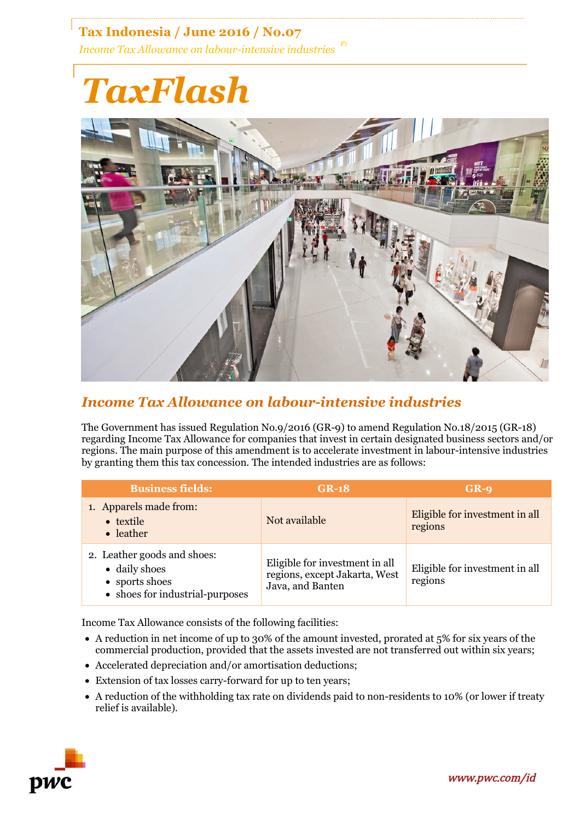**Tax Indonesia / June 2016 / No.07** *Income Tax Allowance on labour-intensive industries P1*

## *TaxFlash*



## *Income Tax Allowance on labour-intensive industries*

The Government has issued Regulation No.9/2016 (GR-9) to amend Regulation No.18/2015 (GR-18) regarding Income Tax Allowance for companies that invest in certain designated business sectors and/or regions. The main purpose of this amendment is to accelerate investment in labour-intensive industries by granting them this tax concession. The intended industries are as follows:

| <b>Business fields:</b>                                                                           | $GR-18$                                                                             | $GR-9$                                    |
|---------------------------------------------------------------------------------------------------|-------------------------------------------------------------------------------------|-------------------------------------------|
| 1. Apparels made from:<br>• textile<br>• leather                                                  | Not available                                                                       | Eligible for investment in all<br>regions |
| 2. Leather goods and shoes:<br>• daily shoes<br>• sports shoes<br>• shoes for industrial-purposes | Eligible for investment in all<br>regions, except Jakarta, West<br>Java, and Banten | Eligible for investment in all<br>regions |

Income Tax Allowance consists of the following facilities:

- A reduction in net income of up to 30% of the amount invested, prorated at 5% for six years of the commercial production, provided that the assets invested are not transferred out within six years;
- Accelerated depreciation and/or amortisation deductions;
- Extension of tax losses carry-forward for up to ten years;
- A reduction of the withholding tax rate on dividends paid to non-residents to 10% (or lower if treaty relief is available).